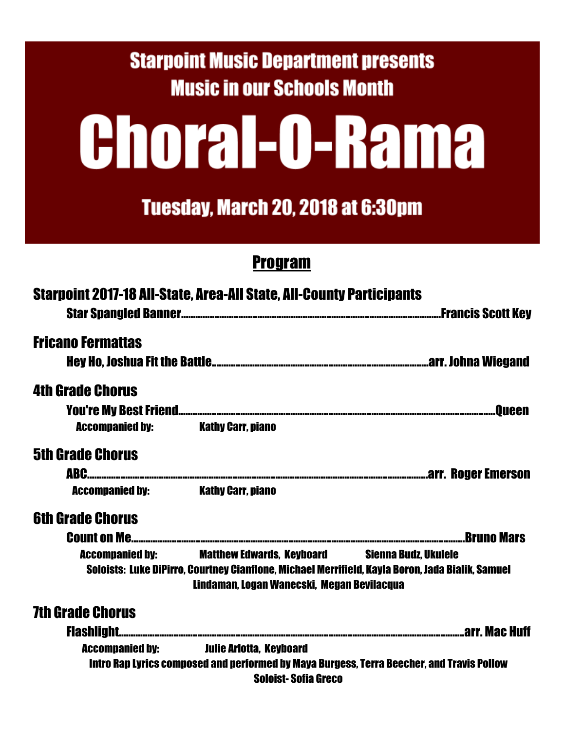### **Starpoint Music Department presents Music in our Schools Month**

# **Choral-O-Rama**

Tuesday, March 20, 2018 at 6:30pm

#### Program

|                          | <b>Starpoint 2017-18 All-State, Area-All State, All-County Participants</b>                                                                                                                             |
|--------------------------|---------------------------------------------------------------------------------------------------------------------------------------------------------------------------------------------------------|
| <b>Fricano Fermattas</b> |                                                                                                                                                                                                         |
|                          |                                                                                                                                                                                                         |
| <b>4th Grade Chorus</b>  |                                                                                                                                                                                                         |
|                          |                                                                                                                                                                                                         |
| <b>Accompanied by:</b>   | Kathy Carr. piano                                                                                                                                                                                       |
| <b>5th Grade Chorus</b>  |                                                                                                                                                                                                         |
|                          |                                                                                                                                                                                                         |
| <b>Accompanied by:</b>   | <b>Kathy Carr. piano</b>                                                                                                                                                                                |
| <b>6th Grade Chorus</b>  |                                                                                                                                                                                                         |
| <b>Count on Me</b>       |                                                                                                                                                                                                         |
| <b>Accompanied by:</b>   | <b>Matthew Edwards, Keyboard Sienna Budz, Ukulele</b><br>Soloists: Luke DiPirro, Courtney Cianflone, Michael Merrifield, Kayla Boron, Jada Bialik, Samuel<br>Lindaman, Logan Wanecski, Megan Bevilacqua |
| <b>7th Grade Chorus</b>  |                                                                                                                                                                                                         |
|                          |                                                                                                                                                                                                         |
|                          | <b>Accompanied by: Serve Lulie Arlotta, Keyboard</b>                                                                                                                                                    |
|                          | Intro Rap Lyrics composed and performed by Maya Burgess, Terra Beecher, and Travis Pollow<br><b>Soloist-Sofia Greco</b>                                                                                 |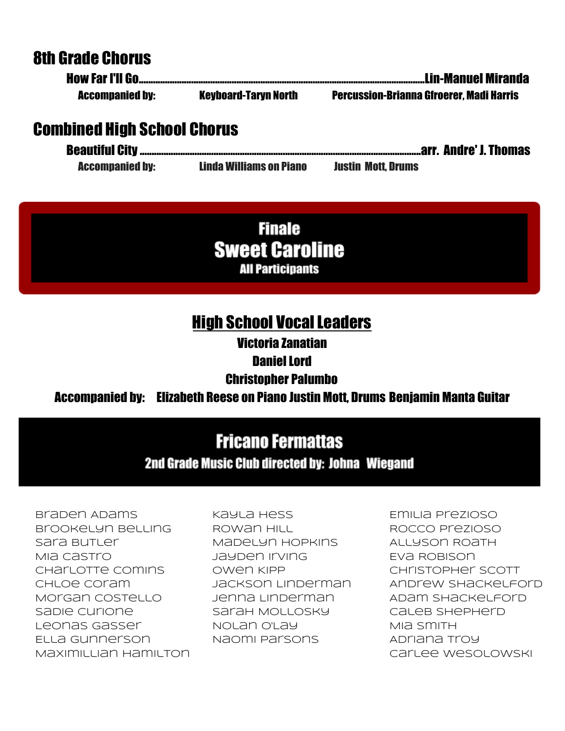#### 8th Grade Chorus

| <b>Accompanied by:</b> | <b>Keyboard-Taryn North</b> | <b>Percussion-Brianna Gfroerer, Madi Harris</b> |
|------------------------|-----------------------------|-------------------------------------------------|

#### Combined High School Chorus

| <b>Accompanied by:</b> | <b>Linda Williams on Piano</b> | <b>Justin Mott, Drums</b> |  |
|------------------------|--------------------------------|---------------------------|--|

**Finale Sweet Caroline** All Participants

#### High School Vocal Leaders

Victoria Zanatian

Daniel Lord

#### Christopher Palumbo

#### Accompanied by: Elizabeth Reese on Piano Justin Mott, Drums Benjamin Manta Guitar

#### **Fricano Fermattas**

#### 2nd Grade Music Club directed by: Johna Wiegand

Braden Adams Brookelyn Belling Sara Butler Mia Castro Charlotte Comins Chloe Coram Morgan Costello Sadie Curione Leonas Gasser Ella Gunnerson Maximillian Hamilton

Kayla Hess Rowan Hill Madelyn Hopkins Jayden Irving Owen Kipp Jackson Linderman Jenna Linderman Sarah Mollosky Nolan O'Lay Naomi Parsons

Emilia Prezioso Rocco Prezioso Allyson Roath Eva Robison Christopher Scott Andrew Shackelford Adam Shackelford Caleb Shepherd MIA SMITH Adriana Troy Carlee Wesolowski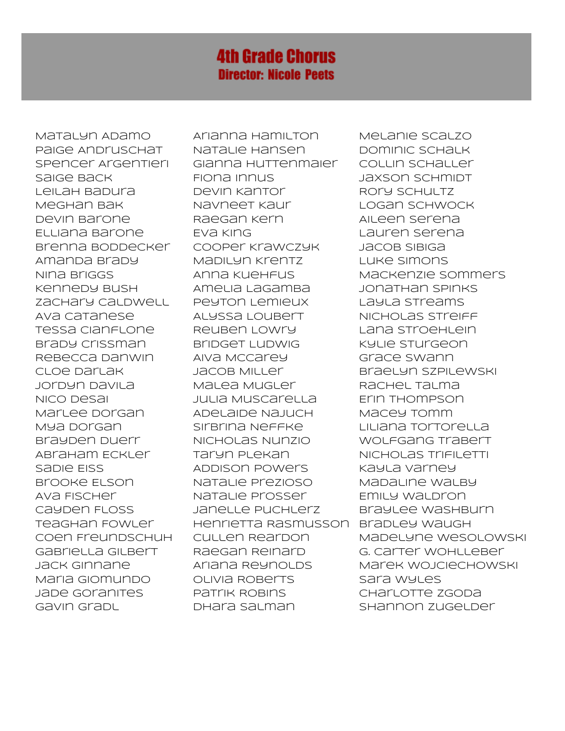#### **4th Grade Chorus Director: Nicole Peets**

Matalyn Adamo Paige Andruschat Spencer Argentieri Saige Back Leilah Badura Meghan Bak Devin Barone Elliana Barone Brenna Boddecker Amanda Brady Nina Briggs Kennedy Bush Zachary Caldwell Ava Catanese Tessa Cianflone Brady Crissman Rebecca Danwin Cloe Darlak Jordyn Davila Nico Desai Marlee Dorgan Mya Dorgan Brayden Duerr Abraham Eckler Sable EISS Brooke Elson Ava Fischer Cayden Floss Teaghan Fowler Coen Freundschuh Gabriella Gilbert Jack Ginnane Maria Giomundo Jade Goranites Gavin Gradl

Arianna Hamilton Natalie Hansen Gianna Huttenmaier Fiona Innus Devin Kantor Navneet Kaur Raegan Kern Eva King Cooper Krawczyk Madilyn Krentz Anna Kuehfus Amelia LaGamba Peyton Lemieux Alyssa Loubert Reuben Lowry Bridget Ludwig Aiva McCarey Jacob Miller Malea Mugler Julia Muscarella Adelaide Najuch Sirbrina Neffke Nicholas Nunzio Taryn Plekan Addison Powers Natalie Prezioso Natalie Prosser Janelle Puchlerz Henrietta Rasmusson Cullen Reardon Raegan Reinard Ariana Reynolds Olivia Roberts Patrik Robins Dhara Salman

Melanie Scalzo Dominic Schalk Collin Schaller Jaxson Schmidt Rory Schultz Logan Schwock Aileen Serena Lauren Serena Jacob Sibiga Luke Simons Mackenzie Sommers Jonathan Spinks Layla Streams Nicholas Streiff Lana Stroehlein Kylie Sturgeon Grace Swann Braelyn Szpilewski Rachel Talma Erin Thompson Macey Tomm Liliana Tortorella Wolfgang Trabert Nicholas Trifiletti Kayla Varney Madaline walby Emily Waldron Braylee Washburn Bradley Waugh Madelyne Wesolowski G. Carter Wohlleber Marek Wojciechowski Sara Wyles Charlotte Zgoda Shannon Zugelder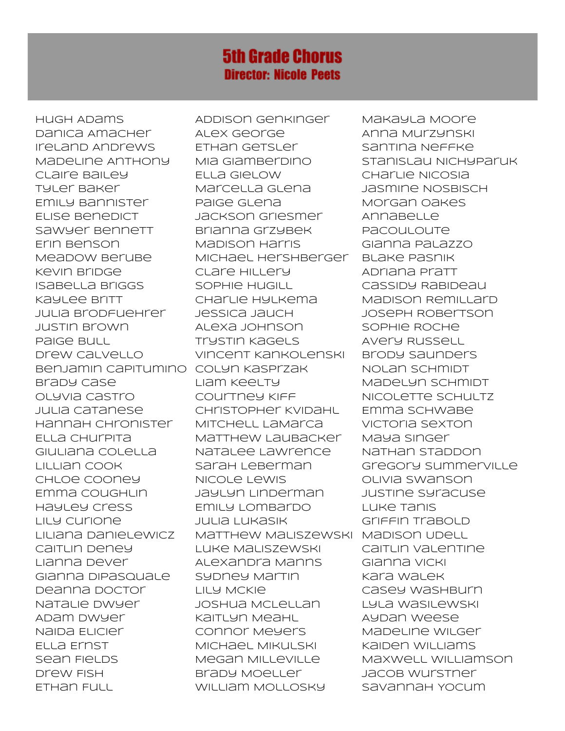#### **5th Grade Chorus Director: Nicole Peets**

Hugh Adams Danica Amacher Ireland Andrews Madeline Anthony Claire Bailey Tyler Baker Emily Bannister Elise Benedict Sawyer Bennett Erin Benson Meadow Berube Kevin Bridge Isabella Briggs Kaylee Britt Julia Brodfuehrer Justin Brown Paige Bull Drew Calvello Benjamin Capitumino Colyn Kasprzak Brady Case Olyvia Castro Julia Catanese Hannah Chronister Ella Churpita Giuliana Colella Lillian Cook Chloe Cooney Emma Coughlin Hayley Cress Lily Curione Liliana Danielewicz Caitlin Deney Lianna Dever Gianna DiPasquale Deanna Doctor Natalie Dwyer Adam Dwyer Naida Elicier Ella Ernst sean Fields Drew Fish Ethan Full

Addison Genkinger Alex George Ethan Getsler Mia Giamberdino Ella Gielow Marcella Glena Paige Glena Jackson Griesmer Brianna Grzybek Madison Harris Michael Hershberger Clare Hillery Sophie Hugill Charlie Hylkema Jessica Jauch Alexa Johnson Trystin Kagels Vincent Kankolenski Liam Keelty Courtney Kiff Christopher Kvidahl Mitchell LaMarca Matthew Laubacker Natalee Lawrence Sarah Leberman Nicole Lewis Jaylyn Linderman Emily Lombardo Julia Lukasik Matthew Maliszewski Madison Udell Luke Maliszewski Alexandra Manns Sydney Martin Lily McKie Joshua McLellan Kaitlyn Meahl Connor Meyers Michael Mikulski Megan Milleville Brady Moeller William Mollosky

Makayla Moore Anna Murzynski Santina Neffke Stanislau Nichyparuk Charlie Nicosia Jasmine Nosbisch Morgan Oakes Annabelle **Pacouloute** Gianna Palazzo Blake Pasnik Adriana Pratt Cassidy Rabideau Madison Remillard Joseph Robertson Sophie Roche Avery Russell Brody Saunders Nolan Schmidt Madelyn Schmidt Nicolette Schultz Emma Schwabe Victoria Sexton Maya Singer Nathan Staddon Gregory Summerville Olivia Swanson Justine Syracuse Luke Tanis Griffin Trabold Caitlin Valentine Gianna Vicki Kara Walek Casey Washburn Lyla Wasilewski Aydan Weese Madeline Wilger Kaiden Williams Maxwell Williamson Jacob Wurstner Savannah Yocum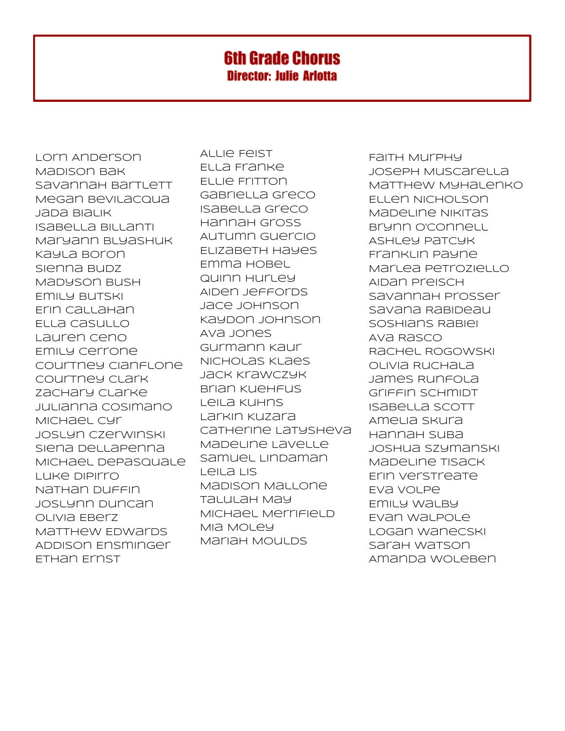#### **6th Grade Chorus Director: Julie Arlotta**

Lorn Anderson Madison Bak Savannah Bartlett Megan Bevilacqua Jada Bialik Isabella Billanti Maryann Blyashuk Kayla Boron Sienna Budz Madyson Bush Emily Butski Erin Callahan Ella Casullo Lauren Ceno Emily Cerrone Courtney Cianflone Courtney Clark Zachary Clarke Julianna Cosimano Michael Cyr Joslyn Czerwinski Siena DellaPenna Michael DePasquale Luke DiPirro Nathan Duffin Joslynn Duncan Olivia Eberz Matthew Edwards Addison Ensminger Ethan Ernst

Allie Feist Ella Franke Ellie Fritton Gabriella Greco Isabella Greco Hannah Gross Autumn Guercio Elizabeth Hayes Emma Hobel Quinn Hurley Aiden Jeffords Jace Johnson Kaydon Johnson Ava Jones Gurmann Kaur Nicholas Klaes Jack Krawczyk Brian Kuehfus Leila Kuhns Larkin Kuzara Catherine Latysheva Madeline Lavelle Samuel Lindaman Leila Lis Madison Mallone Talulah May Michael Merrifield Mia Moley Mariah Moulds

Faith Murphy Joseph Muscarella Matthew Myhalenko Ellen Nicholson Madeline Nikitas Brynn O'Connell Ashley Patcyk Franklin Payne Marlea Petroziello Aidan Preisch Savannah Prosser Savana Rabideau Soshians Rabiei Ava Rasco Rachel Rogowski Olivia Ruchala James Runfola Griffin Schmidt Isabella Scott Amelia Skura Hannah Suba Joshua Szymanski Madeline Tisack Erin Verstreate Eva Volpe Emily Walby Evan Walpole Logan Wanecski Sarah Watson Amanda Woleben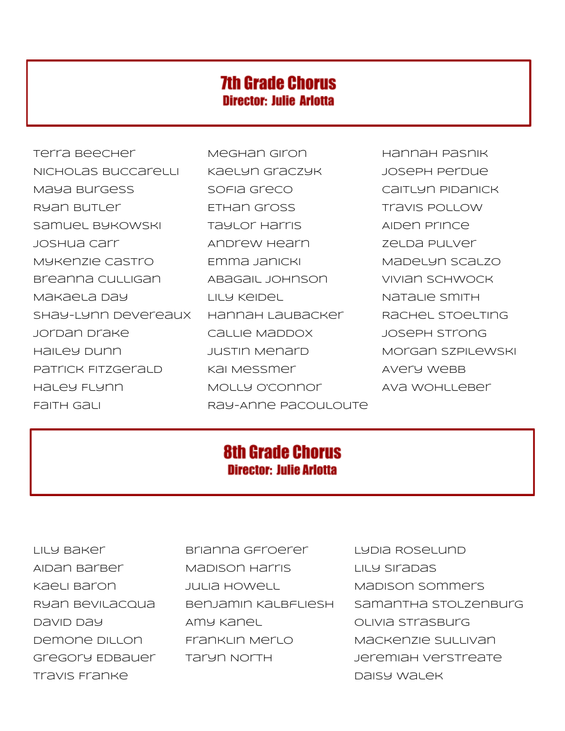#### **7th Grade Chorus Director: Julie Arlotta**

Terra Beecher Meghan Giron Hannah Pasnik Nicholas Buccarelli Kaelyn Graczyk Joseph Perdue Maya Burgess Sofia Greco Caitlyn Pidanick Ryan Butler **Ethan Gross Travis Pollow** Samuel Bykowski kartier Taylor Harris Kaiden Prince Joshua Carr Andrew Hearn Zelda Pulver MYKENZIE CASTro Emma Janicki Madelyn Scalzo Breanna Culligan Abagail Johnson Vivian Schwock Makaela Day Lily Keidel Natalie Smith Shay-Lynn Devereaux Hannah Laubacker Rachel Stoelting Jordan Drake Callie Maddox Joseph Strong Hailey Dunn Mustin Menard Morgan Szpilewski Patrick Fitzgerald Kai Messmer Kan Avery Webb Haley Flynn Molly O'Connor Ava Wohlleber Faith Gali **Ray-Anne Pacouloute** 

#### **8th Grade Chorus Director: Julie Arlotta**

Lily Baker Brianna Gfroerer Lydia Roselund Aidan Barber Madison Harris Lily Siradas Kaeli Baron Julia Howell Madison Sommers David Day Amy Kanel Olivia Strasburg Demone Dillon Franklin Merlo Mackenzie Sullivan Gregory Edbauer Taryn North Jeremiah Verstreate

Ryan Bevilacqua Benjamin Kalbfliesh Samantha Stolzenburg Travis Franke Daisy Walek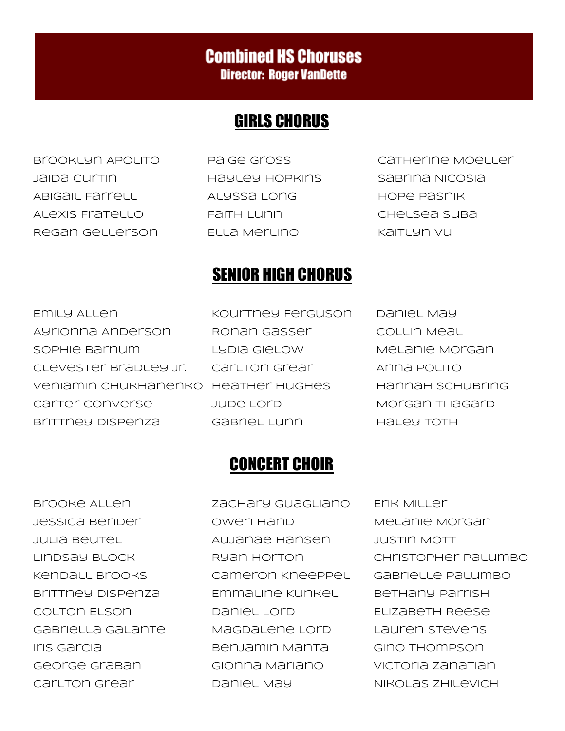#### **Combined HS Choruses Director: Roger VanDette**

#### GIRLS CHORUS

Jaida Curtin Hayley Hopkins Sabrina Nicosia Abigail Farrell Alyssa Long Hope Pasnik Alexis Fratello Faith Lunn Chelsea Suba Regan Gellerson Ella Merlino Kaitlyn Vu

- 
- Brooklyn Apolito Paige Gross Catherine Moeller

#### SENIOR HIGH CHORUS

Emily Allen Kourtney Ferguson Daniel May Ayrionna Anderson Ronan Gasser Collin Meal Sophie Barnum Lydia Gielow Melanie Morgan Clevester Bradley Jr. Carlton Grear Anna Polito Veniamin Chukhanenko Heather Hughes Hannah Schubring Carter Converse Jude Lord Morgan Thagard Brittney Dispenza Gabriel Lunn Haley Toth

#### CONCERT CHOIR

Brooke Allen Zachary Guagliano Erik Miller Jessica Bender Owen Hand Melanie Morgan Julia Beutel Aujanae Hansen Justin Mott Kendall Brooks Cameron Kneeppel Gabrielle Palumbo Brittney Dispenza Emmaline Kunkel Bethany Parrish Colton Elson Daniel Lord Elizabeth Reese Gabriella Galante Magdalene Lord Lauren Stevens Iris Garcia Benjamin Manta Gino Thompson George Graban Gionna Mariano Victoria Zanatian Carlton Grear Daniel May Nikolas Zhilevich

Lindsay Block Ryan Horton Christopher Palumbo